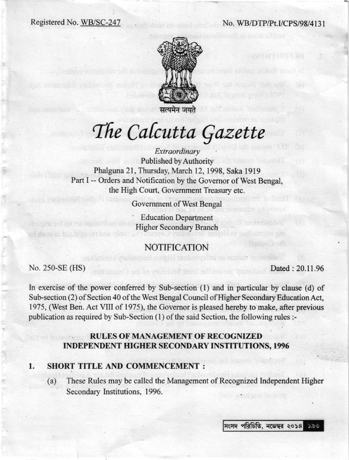### Registered No. WB/SC-247 No. WB/DTP/Pt.I/CPS/98/4131



सत्यमेन जयते

# The Calcutta Gazette

Extraordinary **Published by Authority** Phalguna 21, Thursday, March 12, 1998, Saka 1919 Part I -- Orders and Notification by the Governor of West Bengal, the High Court, Govemment Treasury etc.

Govemment of West Bengal

Education Department Higher Secondary Branch

## NOTIFICATION

The thruth means an independent Higher Secondary institution:

No. 250-SE (HS) Dated: 20.11.96

only and recognized as such by

shiriashqi

In exercise of the power conferred by Sub-section (l) and in particular by clause (d) of Sub-section (2) of Section 40 of the West Bengal Council of Higher Secondary Education Act, 1975, (West Ben. Act VIII of 1975), the Govemor is pleased hereby to make, after previous publication as required by Sub-Section  $(1)$  of the said Section, the following rules :-

## RULES OF MANAGEMENT OF RECOGNIZED INDEPENDENT HIGHER SECONDARY INSTITUTIONS, 1996

#### SHORT TITLE AND COMMENCEMENT : I

(a) These Rules may be called the Management of Recognized Independent Higher Secondary Institutions, 1996. Amount to troo